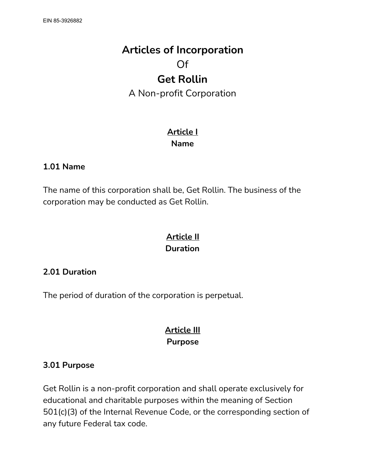# **Articles of Incorporation** Of **Get Rollin** A Non-profit Corporation

## **Article I Name**

#### **1.01 Name**

The name of this corporation shall be, Get Rollin. The business of the corporation may be conducted as Get Rollin.

### **Article II Duration**

#### **2.01 Duration**

The period of duration of the corporation is perpetual.

## **Article III Purpose**

#### **3.01 Purpose**

Get Rollin is a non-profit corporation and shall operate exclusively for educational and charitable purposes within the meaning of Section 501(c)(3) of the Internal Revenue Code, or the corresponding section of any future Federal tax code.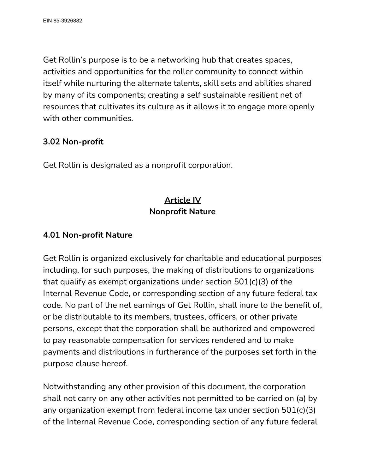Get Rollin's purpose is to be a networking hub that creates spaces, activities and opportunities for the roller community to connect within itself while nurturing the alternate talents, skill sets and abilities shared by many of its components; creating a self sustainable resilient net of resources that cultivates its culture as it allows it to engage more openly with other communities.

#### **3.02 Non-profit**

Get Rollin is designated as a nonprofit corporation.

## **Article IV Nonprofit Nature**

### **4.01 Non-profit Nature**

Get Rollin is organized exclusively for charitable and educational purposes including, for such purposes, the making of distributions to organizations that qualify as exempt organizations under section 501(c)(3) of the Internal Revenue Code, or corresponding section of any future federal tax code. No part of the net earnings of Get Rollin, shall inure to the benefit of, or be distributable to its members, trustees, officers, or other private persons, except that the corporation shall be authorized and empowered to pay reasonable compensation for services rendered and to make payments and distributions in furtherance of the purposes set forth in the purpose clause hereof.

Notwithstanding any other provision of this document, the corporation shall not carry on any other activities not permitted to be carried on (a) by any organization exempt from federal income tax under section 501(c)(3) of the Internal Revenue Code, corresponding section of any future federal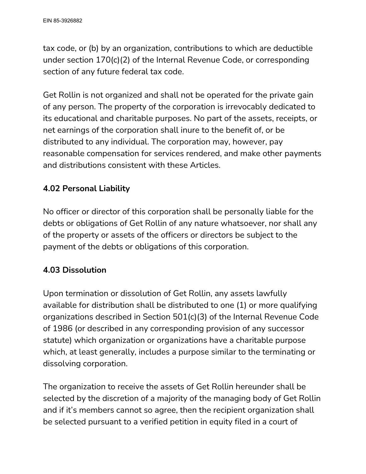tax code, or (b) by an organization, contributions to which are deductible under section 170(c)(2) of the Internal Revenue Code, or corresponding section of any future federal tax code.

Get Rollin is not organized and shall not be operated for the private gain of any person. The property of the corporation is irrevocably dedicated to its educational and charitable purposes. No part of the assets, receipts, or net earnings of the corporation shall inure to the benefit of, or be distributed to any individual. The corporation may, however, pay reasonable compensation for services rendered, and make other payments and distributions consistent with these Articles.

### **4.02 Personal Liability**

No officer or director of this corporation shall be personally liable for the debts or obligations of Get Rollin of any nature whatsoever, nor shall any of the property or assets of the officers or directors be subject to the payment of the debts or obligations of this corporation.

#### **4.03 Dissolution**

Upon termination or dissolution of Get Rollin, any assets lawfully available for distribution shall be distributed to one (1) or more qualifying organizations described in Section 501(c)(3) of the Internal Revenue Code of 1986 (or described in any corresponding provision of any successor statute) which organization or organizations have a charitable purpose which, at least generally, includes a purpose similar to the terminating or dissolving corporation.

The organization to receive the assets of Get Rollin hereunder shall be selected by the discretion of a majority of the managing body of Get Rollin and if it's members cannot so agree, then the recipient organization shall be selected pursuant to a verified petition in equity filed in a court of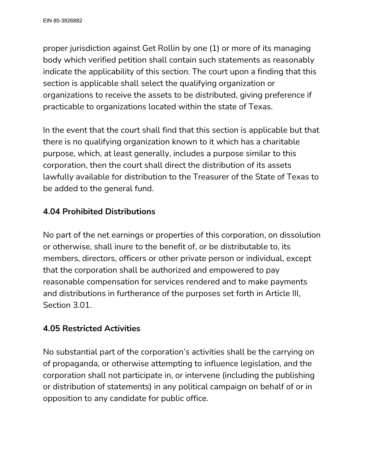proper jurisdiction against Get Rollin by one (1) or more of its managing body which verified petition shall contain such statements as reasonably indicate the applicability of this section. The court upon a finding that this section is applicable shall select the qualifying organization or organizations to receive the assets to be distributed, giving preference if practicable to organizations located within the state of Texas.

In the event that the court shall find that this section is applicable but that there is no qualifying organization known to it which has a charitable purpose, which, at least generally, includes a purpose similar to this corporation, then the court shall direct the distribution of its assets lawfully available for distribution to the Treasurer of the State of Texas to be added to the general fund.

## **4.04 Prohibited Distributions**

No part of the net earnings or properties of this corporation, on dissolution or otherwise, shall inure to the benefit of, or be distributable to, its members, directors, officers or other private person or individual, except that the corporation shall be authorized and empowered to pay reasonable compensation for services rendered and to make payments and distributions in furtherance of the purposes set forth in Article III, Section 3.01.

## **4.05 Restricted Activities**

No substantial part of the corporation's activities shall be the carrying on of propaganda, or otherwise attempting to influence legislation, and the corporation shall not participate in, or intervene (including the publishing or distribution of statements) in any political campaign on behalf of or in opposition to any candidate for public office.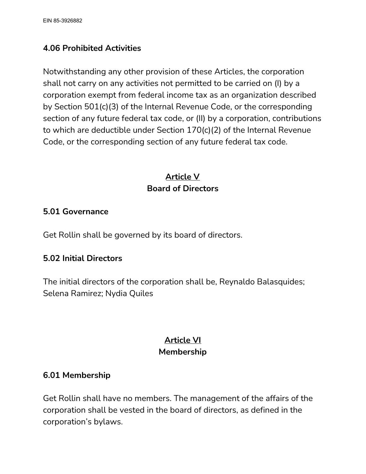### **4.06 Prohibited Activities**

Notwithstanding any other provision of these Articles, the corporation shall not carry on any activities not permitted to be carried on (I) by a corporation exempt from federal income tax as an organization described by Section 501(c)(3) of the Internal Revenue Code, or the corresponding section of any future federal tax code, or (II) by a corporation, contributions to which are deductible under Section 170(c)(2) of the Internal Revenue Code, or the corresponding section of any future federal tax code.

## **Article V Board of Directors**

#### **5.01 Governance**

Get Rollin shall be governed by its board of directors.

#### **5.02 Initial Directors**

The initial directors of the corporation shall be, Reynaldo Balasquides; Selena Ramirez; Nydia Quiles

## **Article VI Membership**

#### **6.01 Membership**

Get Rollin shall have no members. The management of the affairs of the corporation shall be vested in the board of directors, as defined in the corporation's bylaws.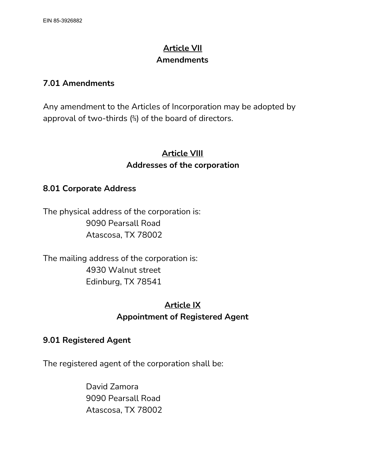## **Article VII Amendments**

#### **7.01 Amendments**

Any amendment to the Articles of Incorporation may be adopted by approval of two-thirds (⅔) of the board of directors.

## **Article VIII Addresses of the corporation**

#### **8.01 Corporate Address**

The physical address of the corporation is: 9090 Pearsall Road Atascosa, TX 78002

The mailing address of the corporation is: 4930 Walnut street Edinburg, TX 78541

## **Article IX Appointment of Registered Agent**

#### **9.01 Registered Agent**

The registered agent of the corporation shall be:

David Zamora 9090 Pearsall Road Atascosa, TX 78002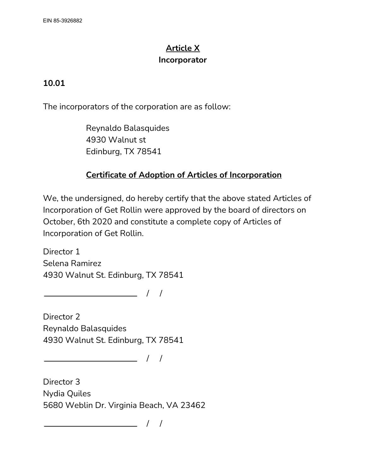## **Article X Incorporator**

### **10.01**

The incorporators of the corporation are as follow:

Reynaldo Balasquides 4930 Walnut st Edinburg, TX 78541

## **Certificate of Adoption of Articles of Incorporation**

We, the undersigned, do hereby certify that the above stated Articles of Incorporation of Get Rollin were approved by the board of directors on October, 6th 2020 and constitute a complete copy of Articles of Incorporation of Get Rollin.

Director 1 Selena Ramirez 4930 Walnut St. Edinburg, TX 78541

 $\frac{1}{2}$  / / /

Director 2 Reynaldo Balasquides 4930 Walnut St. Edinburg, TX 78541

 $\frac{1}{2}$  / / /

Director 3 Nydia Quiles 5680 Weblin Dr. Virginia Beach, VA 23462

 $\overline{\phantom{a}}$  / /